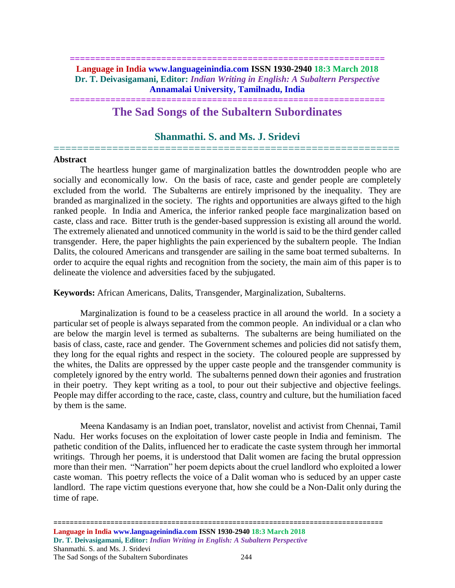### **============================================================== Language in India www.languageinindia.com ISSN 1930-2940 18:3 March 2018 Dr. T. Deivasigamani, Editor:** *Indian Writing in English: A Subaltern Perspective* **Annamalai University, Tamilnadu, India**

## **============================================================== The Sad Songs of the Subaltern Subordinates**

# **Shanmathi. S. and Ms. J. Sridevi** ===========================================================

#### **Abstract**

The heartless hunger game of marginalization battles the downtrodden people who are socially and economically low. On the basis of race, caste and gender people are completely excluded from the world. The Subalterns are entirely imprisoned by the inequality. They are branded as marginalized in the society. The rights and opportunities are always gifted to the high ranked people. In India and America, the inferior ranked people face marginalization based on caste, class and race. Bitter truth is the gender-based suppression is existing all around the world. The extremely alienated and unnoticed community in the world is said to be the third gender called transgender. Here, the paper highlights the pain experienced by the subaltern people. The Indian Dalits, the coloured Americans and transgender are sailing in the same boat termed subalterns. In order to acquire the equal rights and recognition from the society, the main aim of this paper is to delineate the violence and adversities faced by the subjugated.

**Keywords:** African Americans, Dalits, Transgender, Marginalization, Subalterns.

Marginalization is found to be a ceaseless practice in all around the world. In a society a particular set of people is always separated from the common people. An individual or a clan who are below the margin level is termed as subalterns. The subalterns are being humiliated on the basis of class, caste, race and gender. The Government schemes and policies did not satisfy them, they long for the equal rights and respect in the society. The coloured people are suppressed by the whites, the Dalits are oppressed by the upper caste people and the transgender community is completely ignored by the entry world. The subalterns penned down their agonies and frustration in their poetry. They kept writing as a tool, to pour out their subjective and objective feelings. People may differ according to the race, caste, class, country and culture, but the humiliation faced by them is the same.

Meena Kandasamy is an Indian poet, translator, novelist and activist from Chennai, Tamil Nadu. Her works focuses on the exploitation of lower caste people in India and feminism. The pathetic condition of the Dalits, influenced her to eradicate the caste system through her immortal writings. Through her poems, it is understood that Dalit women are facing the brutal oppression more than their men. "Narration" her poem depicts about the cruel landlord who exploited a lower caste woman. This poetry reflects the voice of a Dalit woman who is seduced by an upper caste landlord. The rape victim questions everyone that, how she could be a Non-Dalit only during the time of rape.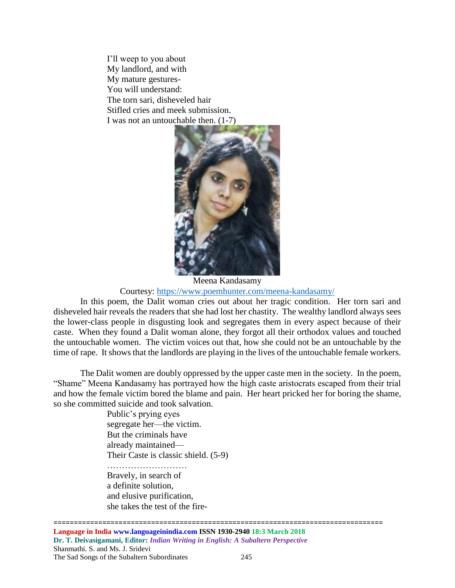I'll weep to you about My landlord, and with My mature gestures-You will understand: The torn sari, disheveled hair Stifled cries and meek submission. I was not an untouchable then. (1-7)



Meena Kandasamy Courtesy:<https://www.poemhunter.com/meena-kandasamy/>

In this poem, the Dalit woman cries out about her tragic condition. Her torn sari and disheveled hair reveals the readers that she had lost her chastity. The wealthy landlord always sees the lower-class people in disgusting look and segregates them in every aspect because of their caste. When they found a Dalit woman alone, they forgot all their orthodox values and touched the untouchable women. The victim voices out that, how she could not be an untouchable by the time of rape. It shows that the landlords are playing in the lives of the untouchable female workers.

The Dalit women are doubly oppressed by the upper caste men in the society. In the poem, "Shame" Meena Kandasamy has portrayed how the high caste aristocrats escaped from their trial and how the female victim bored the blame and pain. Her heart pricked her for boring the shame, so she committed suicide and took salvation.

> Public's prying eyes segregate her—the victim. But the criminals have already maintained— Their Caste is classic shield. (5-9)

……………………… Bravely, in search of a definite solution, and elusive purification, she takes the test of the fire-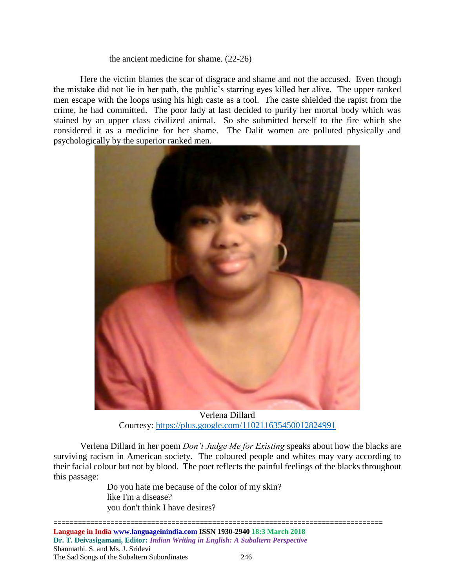#### the ancient medicine for shame. (22-26)

Here the victim blames the scar of disgrace and shame and not the accused. Even though the mistake did not lie in her path, the public's starring eyes killed her alive. The upper ranked men escape with the loops using his high caste as a tool. The caste shielded the rapist from the crime, he had committed. The poor lady at last decided to purify her mortal body which was stained by an upper class civilized animal. So she submitted herself to the fire which she considered it as a medicine for her shame. The Dalit women are polluted physically and psychologically by the superior ranked men.



Verlena Dillard Courtesy:<https://plus.google.com/110211635450012824991>

Verlena Dillard in her poem *Don't Judge Me for Existing* speaks about how the blacks are surviving racism in American society. The coloured people and whites may vary according to their facial colour but not by blood. The poet reflects the painful feelings of the blacks throughout this passage:

> Do you hate me because of the color of my skin? like I'm a disease? you don't think I have desires?

================================================================================= **Language in India www.languageinindia.com ISSN 1930-2940 18:3 March 2018 Dr. T. Deivasigamani, Editor:** *Indian Writing in English: A Subaltern Perspective* Shanmathi. S. and Ms. J. Sridevi The Sad Songs of the Subaltern Subordinates 246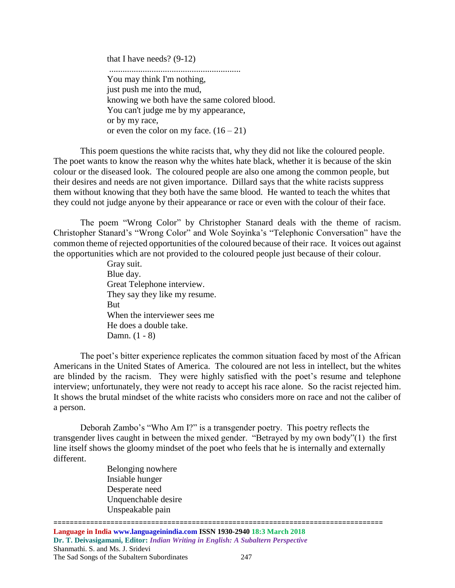that I have needs? (9-12)

........................................................... You may think I'm nothing, just push me into the mud, knowing we both have the same colored blood. You can't judge me by my appearance, or by my race, or even the color on my face.  $(16 - 21)$ 

This poem questions the white racists that, why they did not like the coloured people. The poet wants to know the reason why the whites hate black, whether it is because of the skin colour or the diseased look. The coloured people are also one among the common people, but their desires and needs are not given importance. Dillard says that the white racists suppress them without knowing that they both have the same blood. He wanted to teach the whites that they could not judge anyone by their appearance or race or even with the colour of their face.

The poem "Wrong Color" by Christopher Stanard deals with the theme of racism. Christopher Stanard's "Wrong Color" and Wole Soyinka's "Telephonic Conversation" have the common theme of rejected opportunities of the coloured because of their race. It voices out against the opportunities which are not provided to the coloured people just because of their colour.

> Gray suit. Blue day. Great Telephone interview. They say they like my resume. But When the interviewer sees me He does a double take. Damn. (1 - 8)

The poet's bitter experience replicates the common situation faced by most of the African Americans in the United States of America. The coloured are not less in intellect, but the whites are blinded by the racism. They were highly satisfied with the poet's resume and telephone interview; unfortunately, they were not ready to accept his race alone. So the racist rejected him. It shows the brutal mindset of the white racists who considers more on race and not the caliber of a person.

Deborah Zambo's "Who Am I?" is a transgender poetry. This poetry reflects the transgender lives caught in between the mixed gender. "Betrayed by my own body"(1) the first line itself shows the gloomy mindset of the poet who feels that he is internally and externally different.

Belonging nowhere Insiable hunger Desperate need Unquenchable desire Unspeakable pain

================================================================================= **Language in India www.languageinindia.com ISSN 1930-2940 18:3 March 2018 Dr. T. Deivasigamani, Editor:** *Indian Writing in English: A Subaltern Perspective* Shanmathi. S. and Ms. J. Sridevi The Sad Songs of the Subaltern Subordinates 247